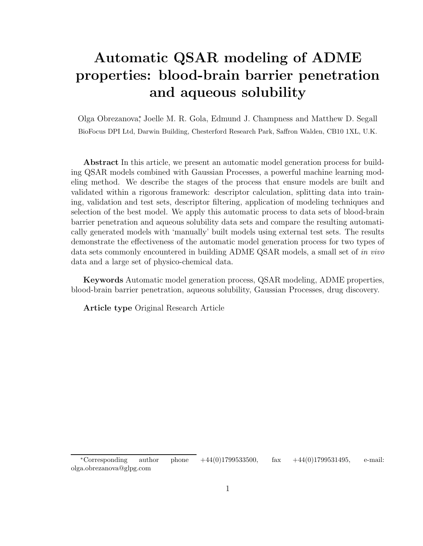# Automatic QSAR modeling of ADME properties: blood-brain barrier penetration and aqueous solubility

Olga Obrezanova<sup>∗</sup> , Joelle M. R. Gola, Edmund J. Champness and Matthew D. Segall BioFocus DPI Ltd, Darwin Building, Chesterford Research Park, Saffron Walden, CB10 1XL, U.K.

Abstract In this article, we present an automatic model generation process for building QSAR models combined with Gaussian Processes, a powerful machine learning modeling method. We describe the stages of the process that ensure models are built and validated within a rigorous framework: descriptor calculation, splitting data into training, validation and test sets, descriptor filtering, application of modeling techniques and selection of the best model. We apply this automatic process to data sets of blood-brain barrier penetration and aqueous solubility data sets and compare the resulting automatically generated models with 'manually' built models using external test sets. The results demonstrate the effectiveness of the automatic model generation process for two types of data sets commonly encountered in building ADME QSAR models, a small set of in vivo data and a large set of physico-chemical data.

Keywords Automatic model generation process, QSAR modeling, ADME properties, blood-brain barrier penetration, aqueous solubility, Gaussian Processes, drug discovery.

Article type Original Research Article

<sup>\*</sup>Corresponding author phone  $+44(0)1799533500$ , fax  $+44(0)1799531495$ , e-mail: olga.obrezanova@glpg.com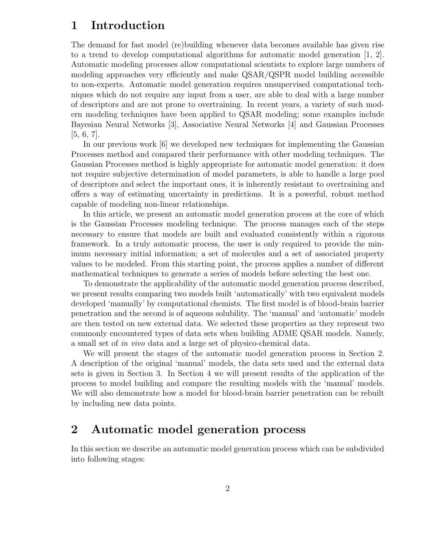# 1 Introduction

The demand for fast model (re)building whenever data becomes available has given rise to a trend to develop computational algorithms for automatic model generation [1, 2]. Automatic modeling processes allow computational scientists to explore large numbers of modeling approaches very efficiently and make QSAR/QSPR model building accessible to non-experts. Automatic model generation requires unsupervised computational techniques which do not require any input from a user, are able to deal with a large number of descriptors and are not prone to overtraining. In recent years, a variety of such modern modeling techniques have been applied to QSAR modeling; some examples include Bayesian Neural Networks [3], Associative Neural Networks [4] and Gaussian Processes [5, 6, 7].

In our previous work [6] we developed new techniques for implementing the Gaussian Processes method and compared their performance with other modeling techniques. The Gaussian Processes method is highly appropriate for automatic model generation: it does not require subjective determination of model parameters, is able to handle a large pool of descriptors and select the important ones, it is inherently resistant to overtraining and offers a way of estimating uncertainty in predictions. It is a powerful, robust method capable of modeling non-linear relationships.

In this article, we present an automatic model generation process at the core of which is the Gaussian Processes modeling technique. The process manages each of the steps necessary to ensure that models are built and evaluated consistently within a rigorous framework. In a truly automatic process, the user is only required to provide the minimum necessary initial information; a set of molecules and a set of associated property values to be modeled. From this starting point, the process applies a number of different mathematical techniques to generate a series of models before selecting the best one.

To demonstrate the applicability of the automatic model generation process described, we present results comparing two models built 'automatically' with two equivalent models developed 'manually' by computational chemists. The first model is of blood-brain barrier penetration and the second is of aqueous solubility. The 'manual' and 'automatic' models are then tested on new external data. We selected these properties as they represent two commonly encountered types of data sets when building ADME QSAR models. Namely, a small set of in vivo data and a large set of physico-chemical data.

We will present the stages of the automatic model generation process in Section 2. A description of the original 'manual' models, the data sets used and the external data sets is given in Section 3. In Section 4 we will present results of the application of the process to model building and compare the resulting models with the 'manual' models. We will also demonstrate how a model for blood-brain barrier penetration can be rebuilt by including new data points.

# 2 Automatic model generation process

In this section we describe an automatic model generation process which can be subdivided into following stages: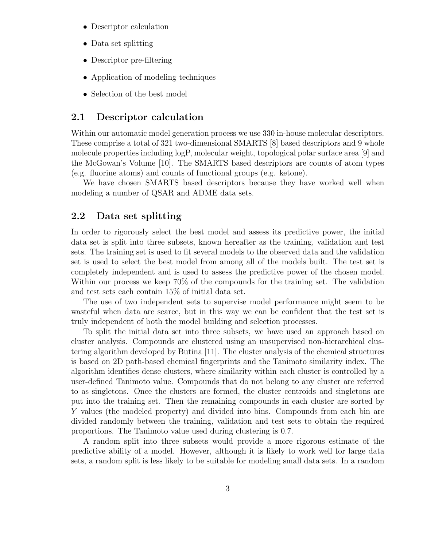- Descriptor calculation
- Data set splitting
- Descriptor pre-filtering
- Application of modeling techniques
- Selection of the best model

#### 2.1 Descriptor calculation

Within our automatic model generation process we use 330 in-house molecular descriptors. These comprise a total of 321 two-dimensional SMARTS [8] based descriptors and 9 whole molecule properties including logP, molecular weight, topological polar surface area [9] and the McGowan's Volume [10]. The SMARTS based descriptors are counts of atom types (e.g. fluorine atoms) and counts of functional groups (e.g. ketone).

We have chosen SMARTS based descriptors because they have worked well when modeling a number of QSAR and ADME data sets.

#### 2.2 Data set splitting

In order to rigorously select the best model and assess its predictive power, the initial data set is split into three subsets, known hereafter as the training, validation and test sets. The training set is used to fit several models to the observed data and the validation set is used to select the best model from among all of the models built. The test set is completely independent and is used to assess the predictive power of the chosen model. Within our process we keep 70% of the compounds for the training set. The validation and test sets each contain 15% of initial data set.

The use of two independent sets to supervise model performance might seem to be wasteful when data are scarce, but in this way we can be confident that the test set is truly independent of both the model building and selection processes.

To split the initial data set into three subsets, we have used an approach based on cluster analysis. Compounds are clustered using an unsupervised non-hierarchical clustering algorithm developed by Butina [11]. The cluster analysis of the chemical structures is based on 2D path-based chemical fingerprints and the Tanimoto similarity index. The algorithm identifies dense clusters, where similarity within each cluster is controlled by a user-defined Tanimoto value. Compounds that do not belong to any cluster are referred to as singletons. Once the clusters are formed, the cluster centroids and singletons are put into the training set. Then the remaining compounds in each cluster are sorted by Y values (the modeled property) and divided into bins. Compounds from each bin are divided randomly between the training, validation and test sets to obtain the required proportions. The Tanimoto value used during clustering is 0.7.

A random split into three subsets would provide a more rigorous estimate of the predictive ability of a model. However, although it is likely to work well for large data sets, a random split is less likely to be suitable for modeling small data sets. In a random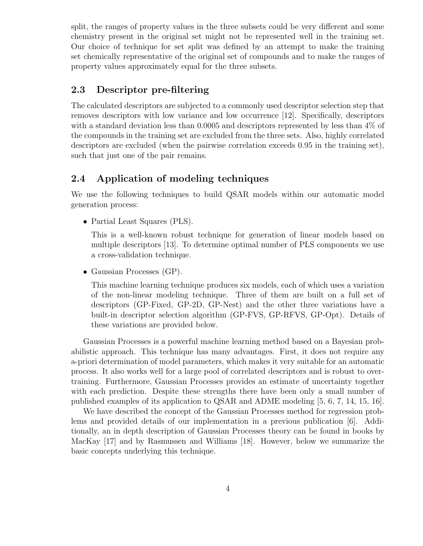split, the ranges of property values in the three subsets could be very different and some chemistry present in the original set might not be represented well in the training set. Our choice of technique for set split was defined by an attempt to make the training set chemically representative of the original set of compounds and to make the ranges of property values approximately equal for the three subsets.

### 2.3 Descriptor pre-filtering

The calculated descriptors are subjected to a commonly used descriptor selection step that removes descriptors with low variance and low occurrence [12]. Specifically, descriptors with a standard deviation less than 0.0005 and descriptors represented by less than 4% of the compounds in the training set are excluded from the three sets. Also, highly correlated descriptors are excluded (when the pairwise correlation exceeds 0.95 in the training set), such that just one of the pair remains.

## 2.4 Application of modeling techniques

We use the following techniques to build QSAR models within our automatic model generation process:

• Partial Least Squares (PLS).

This is a well-known robust technique for generation of linear models based on multiple descriptors [13]. To determine optimal number of PLS components we use a cross-validation technique.

• Gaussian Processes (GP).

This machine learning technique produces six models, each of which uses a variation of the non-linear modeling technique. Three of them are built on a full set of descriptors (GP-Fixed, GP-2D, GP-Nest) and the other three variations have a built-in descriptor selection algorithm (GP-FVS, GP-RFVS, GP-Opt). Details of these variations are provided below.

Gaussian Processes is a powerful machine learning method based on a Bayesian probabilistic approach. This technique has many advantages. First, it does not require any a-priori determination of model parameters, which makes it very suitable for an automatic process. It also works well for a large pool of correlated descriptors and is robust to overtraining. Furthermore, Gaussian Processes provides an estimate of uncertainty together with each prediction. Despite these strengths there have been only a small number of published examples of its application to QSAR and ADME modeling [5, 6, 7, 14, 15, 16].

We have described the concept of the Gaussian Processes method for regression problems and provided details of our implementation in a previous publication [6]. Additionally, an in depth description of Gaussian Processes theory can be found in books by MacKay [17] and by Rasmussen and Williams [18]. However, below we summarize the basic concepts underlying this technique.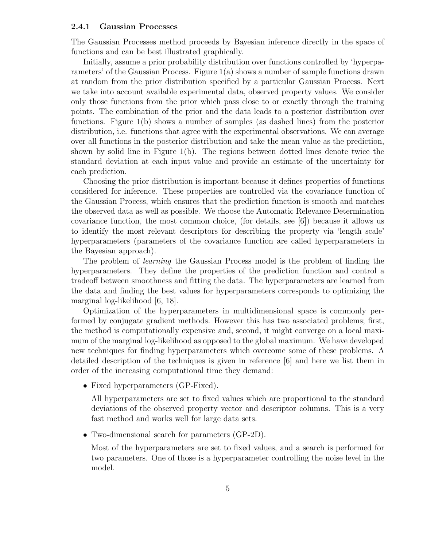#### 2.4.1 Gaussian Processes

The Gaussian Processes method proceeds by Bayesian inference directly in the space of functions and can be best illustrated graphically.

Initially, assume a prior probability distribution over functions controlled by 'hyperparameters' of the Gaussian Process. Figure  $1(a)$  shows a number of sample functions drawn at random from the prior distribution specified by a particular Gaussian Process. Next we take into account available experimental data, observed property values. We consider only those functions from the prior which pass close to or exactly through the training points. The combination of the prior and the data leads to a posterior distribution over functions. Figure 1(b) shows a number of samples (as dashed lines) from the posterior distribution, i.e. functions that agree with the experimental observations. We can average over all functions in the posterior distribution and take the mean value as the prediction, shown by solid line in Figure 1(b). The regions between dotted lines denote twice the standard deviation at each input value and provide an estimate of the uncertainty for each prediction.

Choosing the prior distribution is important because it defines properties of functions considered for inference. These properties are controlled via the covariance function of the Gaussian Process, which ensures that the prediction function is smooth and matches the observed data as well as possible. We choose the Automatic Relevance Determination covariance function, the most common choice, (for details, see [6]) because it allows us to identify the most relevant descriptors for describing the property via 'length scale' hyperparameters (parameters of the covariance function are called hyperparameters in the Bayesian approach).

The problem of learning the Gaussian Process model is the problem of finding the hyperparameters. They define the properties of the prediction function and control a tradeoff between smoothness and fitting the data. The hyperparameters are learned from the data and finding the best values for hyperparameters corresponds to optimizing the marginal log-likelihood [6, 18].

Optimization of the hyperparameters in multidimensional space is commonly performed by conjugate gradient methods. However this has two associated problems; first, the method is computationally expensive and, second, it might converge on a local maximum of the marginal log-likelihood as opposed to the global maximum. We have developed new techniques for finding hyperparameters which overcome some of these problems. A detailed description of the techniques is given in reference [6] and here we list them in order of the increasing computational time they demand:

• Fixed hyperparameters (GP-Fixed).

All hyperparameters are set to fixed values which are proportional to the standard deviations of the observed property vector and descriptor columns. This is a very fast method and works well for large data sets.

• Two-dimensional search for parameters (GP-2D).

Most of the hyperparameters are set to fixed values, and a search is performed for two parameters. One of those is a hyperparameter controlling the noise level in the model.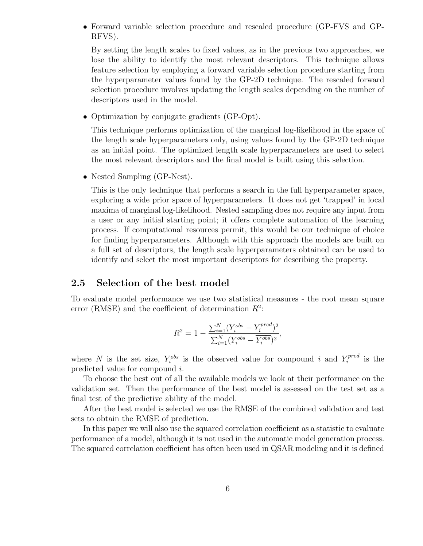• Forward variable selection procedure and rescaled procedure (GP-FVS and GP-RFVS).

By setting the length scales to fixed values, as in the previous two approaches, we lose the ability to identify the most relevant descriptors. This technique allows feature selection by employing a forward variable selection procedure starting from the hyperparameter values found by the GP-2D technique. The rescaled forward selection procedure involves updating the length scales depending on the number of descriptors used in the model.

• Optimization by conjugate gradients (GP-Opt).

This technique performs optimization of the marginal log-likelihood in the space of the length scale hyperparameters only, using values found by the GP-2D technique as an initial point. The optimized length scale hyperparameters are used to select the most relevant descriptors and the final model is built using this selection.

• Nested Sampling (GP-Nest).

This is the only technique that performs a search in the full hyperparameter space, exploring a wide prior space of hyperparameters. It does not get 'trapped' in local maxima of marginal log-likelihood. Nested sampling does not require any input from a user or any initial starting point; it offers complete automation of the learning process. If computational resources permit, this would be our technique of choice for finding hyperparameters. Although with this approach the models are built on a full set of descriptors, the length scale hyperparameters obtained can be used to identify and select the most important descriptors for describing the property.

#### 2.5 Selection of the best model

To evaluate model performance we use two statistical measures - the root mean square error (RMSE) and the coefficient of determination  $R^2$ :

$$
R^{2} = 1 - \frac{\sum_{i=1}^{N} (Y_{i}^{obs} - Y_{i}^{pred})^{2}}{\sum_{i=1}^{N} (Y_{i}^{obs} - \overline{Y_{i}^{obs}})^{2}},
$$

where N is the set size,  $Y_i^{obs}$  is the observed value for compound i and  $Y_i^{pred}$  $e_i^{prea}$  is the predicted value for compound i.

To choose the best out of all the available models we look at their performance on the validation set. Then the performance of the best model is assessed on the test set as a final test of the predictive ability of the model.

After the best model is selected we use the RMSE of the combined validation and test sets to obtain the RMSE of prediction.

In this paper we will also use the squared correlation coefficient as a statistic to evaluate performance of a model, although it is not used in the automatic model generation process. The squared correlation coefficient has often been used in QSAR modeling and it is defined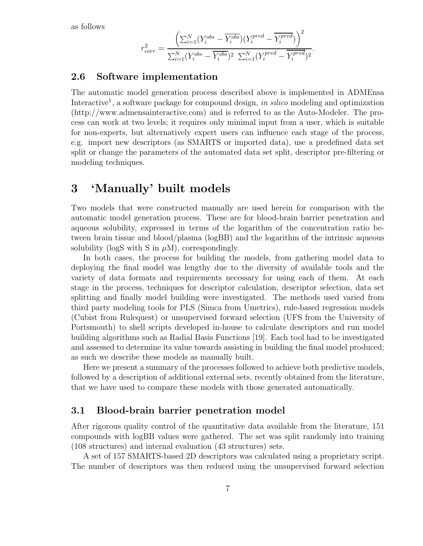as follows

$$
r_{corr}^2 = \frac{\left(\sum_{i=1}^{N} (Y_i^{obs} - \overline{Y_i^{obs}})(Y_i^{pred} - \overline{Y_i^{pred}})\right)^2}{\sum_{i=1}^{N} (Y_i^{obs} - \overline{Y_i^{obs}})^2 \sum_{i=1}^{N} (Y_i^{pred} - \overline{Y_i^{pred}})^2}.
$$

#### 2.6 Software implementation

The automatic model generation process described above is implemented in ADMEnsa Interactive<sup>1</sup>, a software package for compound design, *in silico* modeling and optimization (http://www.admensainteractive.com) and is referred to as the Auto-Modeler. The process can work at two levels; it requires only minimal input from a user, which is suitable for non-experts, but alternatively expert users can influence each stage of the process, e.g. import new descriptors (as SMARTS or imported data), use a predefined data set split or change the parameters of the automated data set split, descriptor pre-filtering or modeling techniques.

## 3 'Manually' built models

Two models that were constructed manually are used herein for comparison with the automatic model generation process. These are for blood-brain barrier penetration and aqueous solubility, expressed in terms of the logarithm of the concentration ratio between brain tissue and blood/plasma (logBB) and the logarithm of the intrinsic aqueous solubility (logS with S in  $\mu$ M), correspondingly.

In both cases, the process for building the models, from gathering model data to deploying the final model was lengthy due to the diversity of available tools and the variety of data formats and requirements necessary for using each of them. At each stage in the process, techniques for descriptor calculation, descriptor selection, data set splitting and finally model building were investigated. The methods used varied from third party modeling tools for PLS (Simca from Umetrics), rule-based regression models (Cubist from Rulequest) or unsupervised forward selection (UFS from the University of Portsmouth) to shell scripts developed in-house to calculate descriptors and run model building algorithms such as Radial Basis Functions [19]. Each tool had to be investigated and assessed to determine its value towards assisting in building the final model produced; as such we describe these models as manually built.

Here we present a summary of the processes followed to achieve both predictive models, followed by a description of additional external sets, recently obtained from the literature, that we have used to compare these models with those generated automatically.

#### 3.1 Blood-brain barrier penetration model

After rigorous quality control of the quantitative data available from the literature, 151 compounds with logBB values were gathered. The set was split randomly into training (108 structures) and internal evaluation (43 structures) sets.

A set of 157 SMARTS-based 2D descriptors was calculated using a proprietary script. The number of descriptors was then reduced using the unsupervised forward selection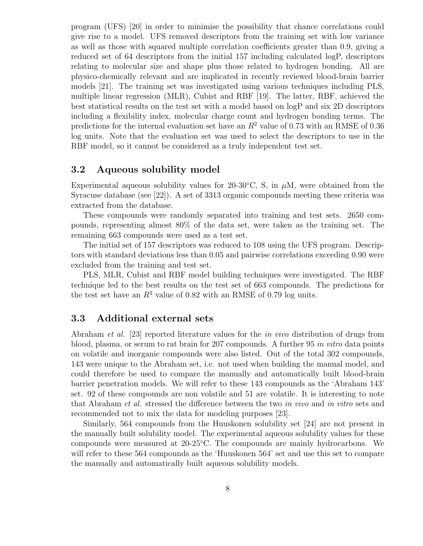program (UFS) [20] in order to minimise the possibility that chance correlations could give rise to a model. UFS removed descriptors from the training set with low variance as well as those with squared multiple correlation coefficients greater than 0.9, giving a reduced set of 64 descriptors from the initial 157 including calculated logP, descriptors relating to molecular size and shape plus those related to hydrogen bonding. All are physico-chemically relevant and are implicated in recently reviewed blood-brain barrier models [21]. The training set was investigated using various techniques including PLS, multiple linear regression (MLR), Cubist and RBF [19]. The latter, RBF, achieved the best statistical results on the test set with a model based on logP and six 2D descriptors including a flexibility index, molecular charge count and hydrogen bonding terms. The predictions for the internal evaluation set have an  $R^2$  value of 0.73 with an RMSE of 0.36 log units. Note that the evaluation set was used to select the descriptors to use in the RBF model, so it cannot be considered as a truly independent test set.

#### 3.2 Aqueous solubility model

Experimental aqueous solubility values for 20-30<sup>°</sup>C, S, in  $\mu$ M, were obtained from the Syracuse database (see [22]). A set of 3313 organic compounds meeting these criteria was extracted from the database.

These compounds were randomly separated into training and test sets. 2650 compounds, representing almost 80% of the data set, were taken as the training set. The remaining 663 compounds were used as a test set.

The initial set of 157 descriptors was reduced to 108 using the UFS program. Descriptors with standard deviations less than 0.05 and pairwise correlations exceeding 0.90 were excluded from the training and test set.

PLS, MLR, Cubist and RBF model building techniques were investigated. The RBF technique led to the best results on the test set of 663 compounds. The predictions for the test set have an  $R^2$  value of 0.82 with an RMSE of 0.79 log units.

#### 3.3 Additional external sets

Abraham et al. [23] reported literature values for the in vivo distribution of drugs from blood, plasma, or serum to rat brain for 207 compounds. A further 95 in vitro data points on volatile and inorganic compounds were also listed. Out of the total 302 compounds, 143 were unique to the Abraham set, i.e. not used when building the manual model, and could therefore be used to compare the manually and automatically built blood-brain barrier penetration models. We will refer to these 143 compounds as the 'Abraham 143' set. 92 of these compounds are non volatile and 51 are volatile. It is interesting to note that Abraham *et al.* stressed the difference between the two *in vivo* and *in vitro* sets and recommended not to mix the data for modeling purposes [23].

Similarly, 564 compounds from the Huuskonen solubility set [24] are not present in the manually built solubility model. The experimental aqueous solubility values for these compounds were measured at 20-25◦C. The compounds are mainly hydrocarbons. We will refer to these 564 compounds as the 'Huuskonen 564' set and use this set to compare the manually and automatically built aqueous solubility models.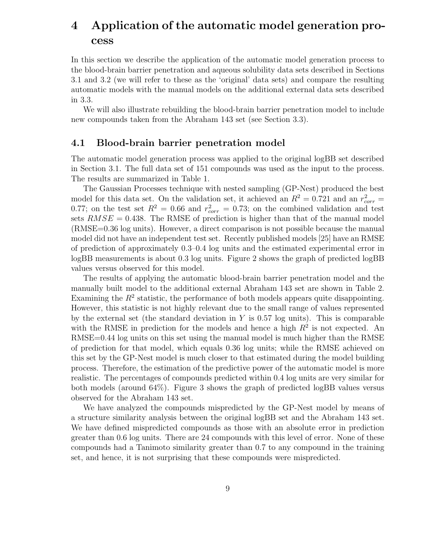# 4 Application of the automatic model generation process

In this section we describe the application of the automatic model generation process to the blood-brain barrier penetration and aqueous solubility data sets described in Sections 3.1 and 3.2 (we will refer to these as the 'original' data sets) and compare the resulting automatic models with the manual models on the additional external data sets described in 3.3.

We will also illustrate rebuilding the blood-brain barrier penetration model to include new compounds taken from the Abraham 143 set (see Section 3.3).

#### 4.1 Blood-brain barrier penetration model

The automatic model generation process was applied to the original logBB set described in Section 3.1. The full data set of 151 compounds was used as the input to the process. The results are summarized in Table 1.

The Gaussian Processes technique with nested sampling (GP-Nest) produced the best model for this data set. On the validation set, it achieved an  $R^2 = 0.721$  and an  $r_{corr}^2 =$ 0.77; on the test set  $R^2 = 0.66$  and  $r_{corr}^2 = 0.73$ ; on the combined validation and test sets  $RMSE = 0.438$ . The RMSE of prediction is higher than that of the manual model (RMSE=0.36 log units). However, a direct comparison is not possible because the manual model did not have an independent test set. Recently published models [25] have an RMSE of prediction of approximately 0.3–0.4 log units and the estimated experimental error in logBB measurements is about 0.3 log units. Figure 2 shows the graph of predicted logBB values versus observed for this model.

The results of applying the automatic blood-brain barrier penetration model and the manually built model to the additional external Abraham 143 set are shown in Table 2. Examining the  $R^2$  statistic, the performance of both models appears quite disappointing. However, this statistic is not highly relevant due to the small range of values represented by the external set (the standard deviation in  $Y$  is 0.57 log units). This is comparable with the RMSE in prediction for the models and hence a high  $R^2$  is not expected. An RMSE=0.44 log units on this set using the manual model is much higher than the RMSE of prediction for that model, which equals 0.36 log units; while the RMSE achieved on this set by the GP-Nest model is much closer to that estimated during the model building process. Therefore, the estimation of the predictive power of the automatic model is more realistic. The percentages of compounds predicted within 0.4 log units are very similar for both models (around 64%). Figure 3 shows the graph of predicted logBB values versus observed for the Abraham 143 set.

We have analyzed the compounds mispredicted by the GP-Nest model by means of a structure similarity analysis between the original logBB set and the Abraham 143 set. We have defined mispredicted compounds as those with an absolute error in prediction greater than 0.6 log units. There are 24 compounds with this level of error. None of these compounds had a Tanimoto similarity greater than 0.7 to any compound in the training set, and hence, it is not surprising that these compounds were mispredicted.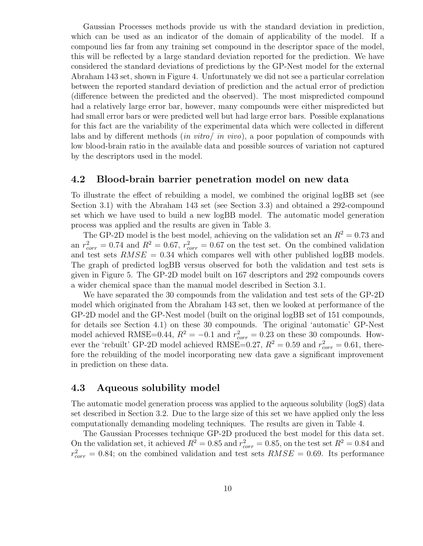Gaussian Processes methods provide us with the standard deviation in prediction, which can be used as an indicator of the domain of applicability of the model. If a compound lies far from any training set compound in the descriptor space of the model, this will be reflected by a large standard deviation reported for the prediction. We have considered the standard deviations of predictions by the GP-Nest model for the external Abraham 143 set, shown in Figure 4. Unfortunately we did not see a particular correlation between the reported standard deviation of prediction and the actual error of prediction (difference between the predicted and the observed). The most mispredicted compound had a relatively large error bar, however, many compounds were either mispredicted but had small error bars or were predicted well but had large error bars. Possible explanations for this fact are the variability of the experimental data which were collected in different labs and by different methods *(in vitro/ in vivo)*, a poor population of compounds with low blood-brain ratio in the available data and possible sources of variation not captured by the descriptors used in the model.

#### 4.2 Blood-brain barrier penetration model on new data

To illustrate the effect of rebuilding a model, we combined the original logBB set (see Section 3.1) with the Abraham 143 set (see Section 3.3) and obtained a 292-compound set which we have used to build a new logBB model. The automatic model generation process was applied and the results are given in Table 3.

The GP-2D model is the best model, achieving on the validation set an  $R^2 = 0.73$  and an  $r_{corr}^2 = 0.74$  and  $R^2 = 0.67$ ,  $r_{corr}^2 = 0.67$  on the test set. On the combined validation and test sets  $RMSE = 0.34$  which compares well with other published logBB models. The graph of predicted logBB versus observed for both the validation and test sets is given in Figure 5. The GP-2D model built on 167 descriptors and 292 compounds covers a wider chemical space than the manual model described in Section 3.1.

We have separated the 30 compounds from the validation and test sets of the GP-2D model which originated from the Abraham 143 set, then we looked at performance of the GP-2D model and the GP-Nest model (built on the original logBB set of 151 compounds, for details see Section 4.1) on these 30 compounds. The original 'automatic' GP-Nest model achieved RMSE=0.44,  $R^2 = -0.1$  and  $r_{corr}^2 = 0.23$  on these 30 compounds. However the 'rebuilt' GP-2D model achieved RMSE=0.27,  $R^2 = 0.59$  and  $r_{corr}^2 = 0.61$ , therefore the rebuilding of the model incorporating new data gave a significant improvement in prediction on these data.

#### 4.3 Aqueous solubility model

The automatic model generation process was applied to the aqueous solubility (logS) data set described in Section 3.2. Due to the large size of this set we have applied only the less computationally demanding modeling techniques. The results are given in Table 4.

The Gaussian Processes technique GP-2D produced the best model for this data set. On the validation set, it achieved  $R^2 = 0.85$  and  $r_{corr}^2 = 0.85$ , on the test set  $R^2 = 0.84$  and  $r_{corr}^2 = 0.84$ ; on the combined validation and test sets  $RMSE = 0.69$ . Its performance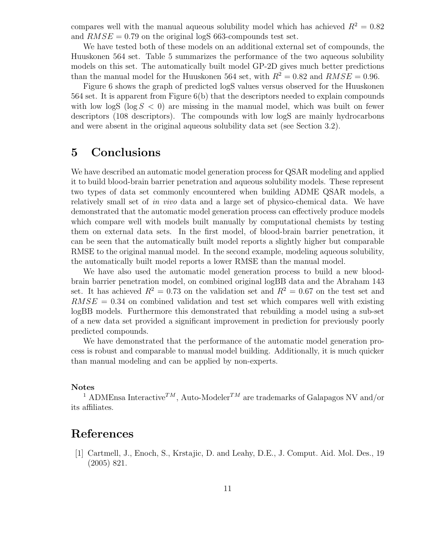compares well with the manual aqueous solubility model which has achieved  $R^2 = 0.82$ and  $RMSE = 0.79$  on the original logS 663-compounds test set.

We have tested both of these models on an additional external set of compounds, the Huuskonen 564 set. Table 5 summarizes the performance of the two aqueous solubility models on this set. The automatically built model GP-2D gives much better predictions than the manual model for the Huuskonen 564 set, with  $R^2 = 0.82$  and  $RMSE = 0.96$ .

Figure 6 shows the graph of predicted logS values versus observed for the Huuskonen 564 set. It is apparent from Figure 6(b) that the descriptors needed to explain compounds with low logS ( $\log S < 0$ ) are missing in the manual model, which was built on fewer descriptors (108 descriptors). The compounds with low logS are mainly hydrocarbons and were absent in the original aqueous solubility data set (see Section 3.2).

# 5 Conclusions

We have described an automatic model generation process for QSAR modeling and applied it to build blood-brain barrier penetration and aqueous solubility models. These represent two types of data set commonly encountered when building ADME QSAR models, a relatively small set of in vivo data and a large set of physico-chemical data. We have demonstrated that the automatic model generation process can effectively produce models which compare well with models built manually by computational chemists by testing them on external data sets. In the first model, of blood-brain barrier penetration, it can be seen that the automatically built model reports a slightly higher but comparable RMSE to the original manual model. In the second example, modeling aqueous solubility, the automatically built model reports a lower RMSE than the manual model.

We have also used the automatic model generation process to build a new bloodbrain barrier penetration model, on combined original logBB data and the Abraham 143 set. It has achieved  $R^2 = 0.73$  on the validation set and  $R^2 = 0.67$  on the test set and  $RMSE = 0.34$  on combined validation and test set which compares well with existing logBB models. Furthermore this demonstrated that rebuilding a model using a sub-set of a new data set provided a significant improvement in prediction for previously poorly predicted compounds.

We have demonstrated that the performance of the automatic model generation process is robust and comparable to manual model building. Additionally, it is much quicker than manual modeling and can be applied by non-experts.

#### Notes

<sup>1</sup> ADMEnsa Interactive<sup>TM</sup>, Auto-Modeler<sup>TM</sup> are trademarks of Galapagos NV and/or its affiliates.

## References

[1] Cartmell, J., Enoch, S., Krstajic, D. and Leahy, D.E., J. Comput. Aid. Mol. Des., 19 (2005) 821.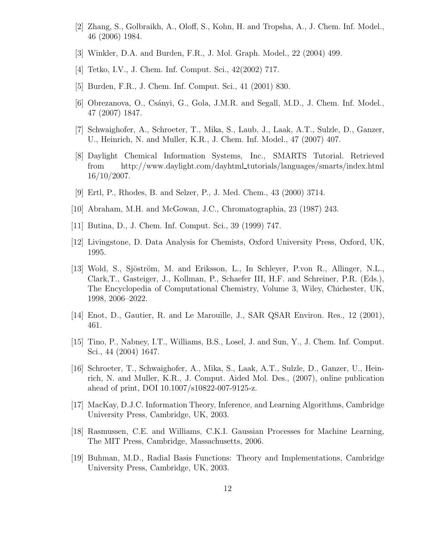- [2] Zhang, S., Golbraikh, A., Oloff, S., Kohn, H. and Tropsha, A., J. Chem. Inf. Model., 46 (2006) 1984.
- [3] Winkler, D.A. and Burden, F.R., J. Mol. Graph. Model., 22 (2004) 499.
- [4] Tetko, I.V., J. Chem. Inf. Comput. Sci., 42(2002) 717.
- [5] Burden, F.R., J. Chem. Inf. Comput. Sci., 41 (2001) 830.
- [6] Obrezanova, O., Cs´anyi, G., Gola, J.M.R. and Segall, M.D., J. Chem. Inf. Model., 47 (2007) 1847.
- [7] Schwaighofer, A., Schroeter, T., Mika, S., Laub, J., Laak, A.T., Sulzle, D., Ganzer, U., Heinrich, N. and Muller, K.R., J. Chem. Inf. Model., 47 (2007) 407.
- [8] Daylight Chemical Information Systems, Inc., SMARTS Tutorial. Retrieved from http://www.daylight.com/dayhtml tutorials/languages/smarts/index.html 16/10/2007.
- [9] Ertl, P., Rhodes, B. and Selzer, P., J. Med. Chem., 43 (2000) 3714.
- [10] Abraham, M.H. and McGowan, J.C., Chromatographia, 23 (1987) 243.
- [11] Butina, D., J. Chem. Inf. Comput. Sci., 39 (1999) 747.
- [12] Livingstone, D. Data Analysis for Chemists, Oxford University Press, Oxford, UK, 1995.
- [13] Wold, S., Sjöström, M. and Eriksson, L., In Schleyer, P.von R., Allinger, N.L., Clark,T., Gasteiger, J., Kollman, P., Schaefer III, H.F. and Schreiner, P.R. (Eds.), The Encyclopedia of Computational Chemistry, Volume 3, Wiley, Chichester, UK, 1998, 2006–2022.
- [14] Enot, D., Gautier, R. and Le Marouille, J., SAR QSAR Environ. Res., 12 (2001), 461.
- [15] Tino, P., Nabney, I.T., Williams, B.S., Losel, J. and Sun, Y., J. Chem. Inf. Comput. Sci., 44 (2004) 1647.
- [16] Schroeter, T., Schwaighofer, A., Mika, S., Laak, A.T., Sulzle, D., Ganzer, U., Heinrich, N. and Muller, K.R., J. Comput. Aided Mol. Des., (2007), online publication ahead of print, DOI 10.1007/s10822-007-9125-z.
- [17] MacKay, D.J.C. Information Theory, Inference, and Learning Algorithms, Cambridge University Press, Cambridge, UK, 2003.
- [18] Rasmussen, C.E. and Williams, C.K.I. Gaussian Processes for Machine Learning, The MIT Press, Cambridge, Massachusetts, 2006.
- [19] Buhman, M.D., Radial Basis Functions: Theory and Implementations, Cambridge University Press, Cambridge, UK, 2003.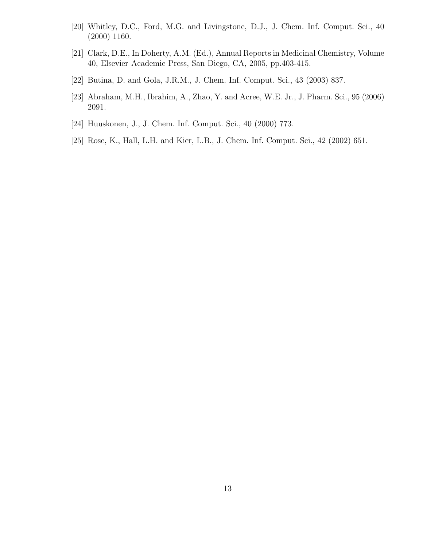- [20] Whitley, D.C., Ford, M.G. and Livingstone, D.J., J. Chem. Inf. Comput. Sci., 40 (2000) 1160.
- [21] Clark, D.E., In Doherty, A.M. (Ed.), Annual Reports in Medicinal Chemistry, Volume 40, Elsevier Academic Press, San Diego, CA, 2005, pp.403-415.
- [22] Butina, D. and Gola, J.R.M., J. Chem. Inf. Comput. Sci., 43 (2003) 837.
- [23] Abraham, M.H., Ibrahim, A., Zhao, Y. and Acree, W.E. Jr., J. Pharm. Sci., 95 (2006) 2091.
- [24] Huuskonen, J., J. Chem. Inf. Comput. Sci., 40 (2000) 773.
- [25] Rose, K., Hall, L.H. and Kier, L.B., J. Chem. Inf. Comput. Sci., 42 (2002) 651.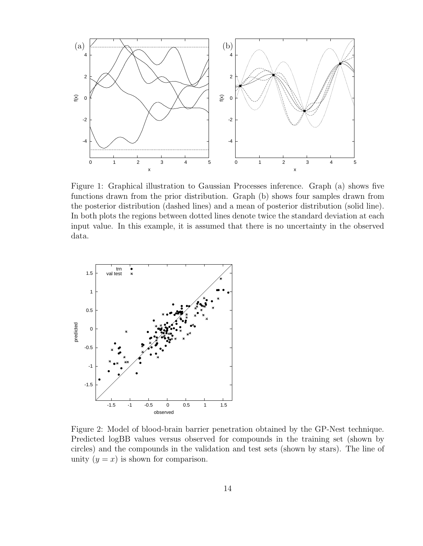

Figure 1: Graphical illustration to Gaussian Processes inference. Graph (a) shows five functions drawn from the prior distribution. Graph (b) shows four samples drawn from the posterior distribution (dashed lines) and a mean of posterior distribution (solid line). In both plots the regions between dotted lines denote twice the standard deviation at each input value. In this example, it is assumed that there is no uncertainty in the observed data.



Figure 2: Model of blood-brain barrier penetration obtained by the GP-Nest technique. Predicted logBB values versus observed for compounds in the training set (shown by circles) and the compounds in the validation and test sets (shown by stars). The line of unity  $(y = x)$  is shown for comparison.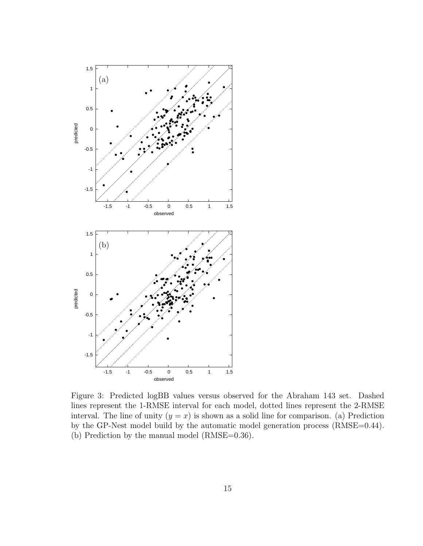

Figure 3: Predicted logBB values versus observed for the Abraham 143 set. Dashed lines represent the 1-RMSE interval for each model, dotted lines represent the 2-RMSE interval. The line of unity  $(y = x)$  is shown as a solid line for comparison. (a) Prediction by the GP-Nest model build by the automatic model generation process (RMSE=0.44). (b) Prediction by the manual model (RMSE=0.36).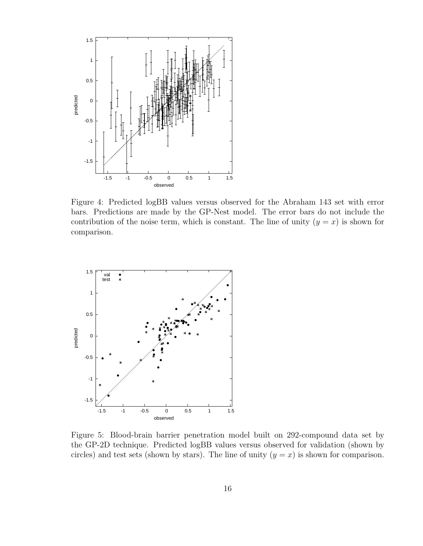

Figure 4: Predicted logBB values versus observed for the Abraham 143 set with error bars. Predictions are made by the GP-Nest model. The error bars do not include the contribution of the noise term, which is constant. The line of unity  $(y = x)$  is shown for comparison.



Figure 5: Blood-brain barrier penetration model built on 292-compound data set by the GP-2D technique. Predicted logBB values versus observed for validation (shown by circles) and test sets (shown by stars). The line of unity  $(y = x)$  is shown for comparison.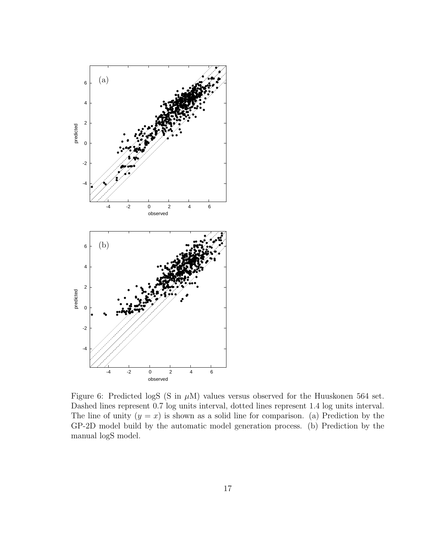

Figure 6: Predicted logS (S in  $\mu$ M) values versus observed for the Huuskonen 564 set. Dashed lines represent 0.7 log units interval, dotted lines represent 1.4 log units interval. The line of unity  $(y = x)$  is shown as a solid line for comparison. (a) Prediction by the GP-2D model build by the automatic model generation process. (b) Prediction by the manual logS model.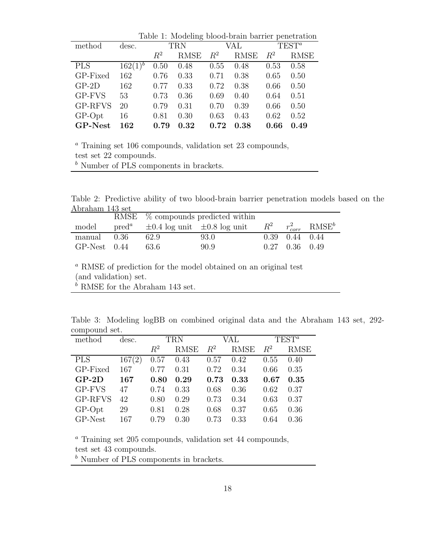| Table 1: Modeling blood-brain barrier penetration |              |            |             |       |             |          |      |
|---------------------------------------------------|--------------|------------|-------------|-------|-------------|----------|------|
| method                                            | desc.        | <b>TRN</b> |             | VAL   |             | $TEST^a$ |      |
|                                                   |              | $R^2$      | <b>RMSE</b> | $R^2$ | <b>RMSE</b> | $R^2$    | RMSE |
| <b>PLS</b>                                        | $162(1)^{b}$ | 0.50       | 0.48        | 0.55  | 0.48        | 0.53     | 0.58 |
| GP-Fixed                                          | 162          | 0.76       | 0.33        | 0.71  | 0.38        | 0.65     | 0.50 |
| $GP-2D$                                           | 162          | 0.77       | 0.33        | 0.72  | 0.38        | 0.66     | 0.50 |
| GP-FVS                                            | 53           | 0.73       | 0.36        | 0.69  | 0.40        | 0.64     | 0.51 |
| <b>GP-RFVS</b>                                    | 20           | 0.79       | 0.31        | 0.70  | 0.39        | 0.66     | 0.50 |
| $GP-Opt$                                          | 16           | 0.81       | 0.30        | 0.63  | 0.43        | 0.62     | 0.52 |
| <b>GP-Nest</b>                                    | 162          | 0.79       | 0.32        | 0.72  | 0.38        | 0.66     | 0.49 |

<sup>a</sup> Training set 106 compounds, validation set 23 compounds, test set 22 compounds.

 $\overline{b}$  Number of PLS components in brackets.

Table 2: Predictive ability of two blood-brain barrier penetration models based on the Abraham 143 set

|                | RMSE % compounds predicted within |                                                                     |                      |                                |
|----------------|-----------------------------------|---------------------------------------------------------------------|----------------------|--------------------------------|
|                |                                   | model pred <sup>a</sup> $\pm 0.4$ log unit $\pm 0.8$ log unit $R^2$ |                      | $r_{corr}^2$ RMSE <sup>b</sup> |
| manual 0.36    | 62.9                              | 93.0                                                                | $0.39$ $0.44$ $0.44$ |                                |
| $GP-Next$ 0.44 | - 63.6                            | 90.9                                                                | $0.27$ $0.36$ $0.49$ |                                |

<sup>a</sup> RMSE of prediction for the model obtained on an original test (and validation) set.

 $\overrightarrow{b}$  RMSE for the Abraham 143 set.

Table 3: Modeling logBB on combined original data and the Abraham 143 set, 292 compound set.

| method         | desc.  |             | TRN         |       | VAL  |       | $TEST^a$    |
|----------------|--------|-------------|-------------|-------|------|-------|-------------|
|                |        | $R^2$       | <b>RMSE</b> | $R^2$ | RMSE | $R^2$ | <b>RMSE</b> |
| PLS            | 167(2) | $0.57$ 0.43 |             | 0.57  | 0.42 | 0.55  | 0.40        |
| GP-Fixed       | 167    | 0.77        | 0.31        | 0.72  | 0.34 | 0.66  | 0.35        |
| $GP-2D$        | 167    | 0.80        | 0.29        | 0.73  | 0.33 | 0.67  | 0.35        |
| GP-FVS         | 47     | 0.74        | 0.33        | 0.68  | 0.36 | 0.62  | 0.37        |
| <b>GP-RFVS</b> | 42     | 0.80        | 0.29        | 0.73  | 0.34 | 0.63  | 0.37        |
| $GP-Opt$       | 29     | 0.81        | 0.28        | 0.68  | 0.37 | 0.65  | 0.36        |
| GP-Nest        | 167    | 0.79        | 0.30        | 0.73  | 0.33 | 0.64  | 0.36        |

<sup>a</sup> Training set 205 compounds, validation set 44 compounds, test set 43 compounds.

 $\real^b$  Number of PLS components in brackets.